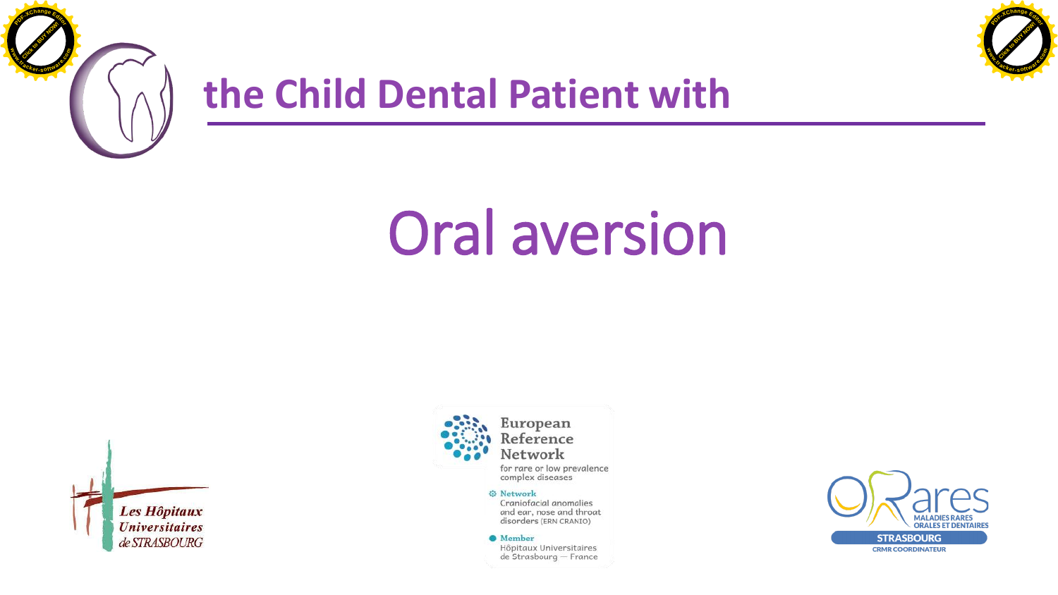



## **the Child Dental Patient with**

## Oral aversion





for rare or low prevalence complex diseases

## **O** Network

Craniofacial anomalies and ear, nose and throat disorders (ERN CRANIO)

<sup>O</sup>Member

Hôpitaux Universitaires de Strasbourg - France